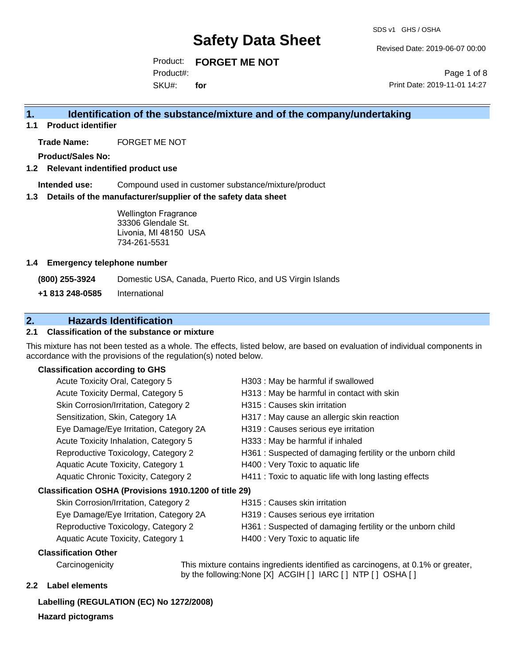SDS v1 GHS / OSHA

Revised Date: 2019-06-07 00:00

Product: **FORGET ME NOT**  SKU#: Product#: **for**

Page 1 of 8 Print Date: 2019-11-01 14:27

# **1. Identification of the substance/mixture and of the company/undertaking**

**1.1 Product identifier**

**Trade Name:** FORGET ME NOT

**Product/Sales No:**

#### **1.2 Relevant indentified product use**

**Intended use:** Compound used in customer substance/mixture/product

#### **1.3 Details of the manufacturer/supplier of the safety data sheet**

Wellington Fragrance 33306 Glendale St. Livonia, MI 48150 USA 734-261-5531

#### **1.4 Emergency telephone number**

**(800) 255-3924** Domestic USA, Canada, Puerto Rico, and US Virgin Islands

**+1 813 248-0585** International

# **2. Hazards Identification**

## **2.1 Classification of the substance or mixture**

This mixture has not been tested as a whole. The effects, listed below, are based on evaluation of individual components in accordance with the provisions of the regulation(s) noted below.

## **Classification according to GHS**

| Acute Toxicity Oral, Category 5                        | H303 : May be harmful if swallowed                        |
|--------------------------------------------------------|-----------------------------------------------------------|
| Acute Toxicity Dermal, Category 5                      | H313 : May be harmful in contact with skin                |
| Skin Corrosion/Irritation, Category 2                  | H315 : Causes skin irritation                             |
| Sensitization, Skin, Category 1A                       | H317 : May cause an allergic skin reaction                |
| Eye Damage/Eye Irritation, Category 2A                 | H319 : Causes serious eye irritation                      |
| Acute Toxicity Inhalation, Category 5                  | H333: May be harmful if inhaled                           |
| Reproductive Toxicology, Category 2                    | H361: Suspected of damaging fertility or the unborn child |
| Aquatic Acute Toxicity, Category 1                     | H400 : Very Toxic to aquatic life                         |
| Aquatic Chronic Toxicity, Category 2                   | H411 : Toxic to aquatic life with long lasting effects    |
| Classification OSHA (Provisions 1910.1200 of title 29) |                                                           |
| Skin Corrosion/Irritation, Category 2                  | H315 : Causes skin irritation                             |
| Eye Damage/Eye Irritation, Category 2A                 | H319 : Causes serious eye irritation                      |
|                                                        |                                                           |

- Reproductive Toxicology, Category 2 H361 : Suspected of damaging fertility or the unborn child
- - Aquatic Acute Toxicity, Category 1 H400 : Very Toxic to aquatic life

#### **Classification Other**

Carcinogenicity This mixture contains ingredients identified as carcinogens, at 0.1% or greater, by the following:None [X] ACGIH [ ] IARC [ ] NTP [ ] OSHA [ ]

## **2.2 Label elements**

#### **Labelling (REGULATION (EC) No 1272/2008)**

**Hazard pictograms**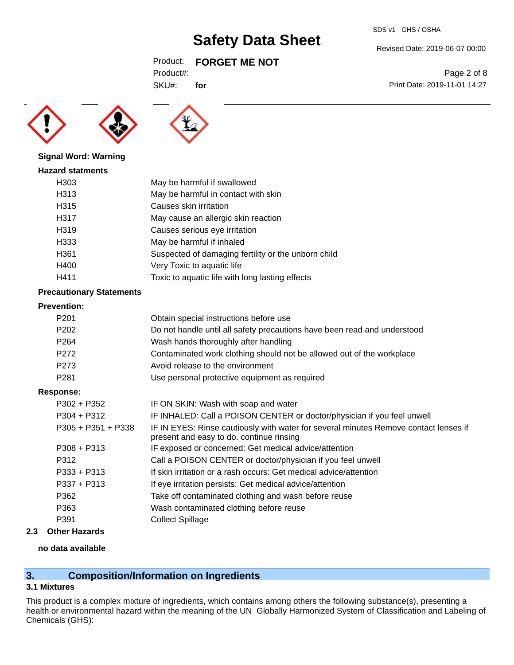SDS v1 GHS / OSHA

Revised Date: 2019-06-07 00:00

Print Date: 2019-11-01 14:27

Page 2 of 8

# Product: **FORGET ME NOT**

| Product#: |
|-----------|
|-----------|

SKU#: **for**





## **Signal Word: Warning**

| <b>Hazard statments</b> |                                                     |
|-------------------------|-----------------------------------------------------|
| H303                    | May be harmful if swallowed                         |
| H313                    | May be harmful in contact with skin                 |
| H315                    | Causes skin irritation                              |
| H317                    | May cause an allergic skin reaction                 |
| H <sub>319</sub>        | Causes serious eye irritation                       |
| H333                    | May be harmful if inhaled                           |
| H361                    | Suspected of damaging fertility or the unborn child |
| H400                    | Very Toxic to aquatic life                          |
| H411                    | Toxic to aquatic life with long lasting effects     |

# **Precautionary Statements**

# **Prevention:**

| P <sub>201</sub>     | Obtain special instructions before use                                                                                           |
|----------------------|----------------------------------------------------------------------------------------------------------------------------------|
| P <sub>202</sub>     | Do not handle until all safety precautions have been read and understood                                                         |
| P <sub>264</sub>     | Wash hands thoroughly after handling                                                                                             |
| P <sub>272</sub>     | Contaminated work clothing should not be allowed out of the workplace                                                            |
| P <sub>273</sub>     | Avoid release to the environment                                                                                                 |
| P <sub>281</sub>     | Use personal protective equipment as required                                                                                    |
| <b>Response:</b>     |                                                                                                                                  |
| $P302 + P352$        | IF ON SKIN: Wash with soap and water                                                                                             |
| $P304 + P312$        | IF INHALED: Call a POISON CENTER or doctor/physician if you feel unwell                                                          |
| $P305 + P351 + P338$ | IF IN EYES: Rinse cautiously with water for several minutes Remove contact lenses if<br>present and easy to do. continue rinsing |
| $P308 + P313$        | IF exposed or concerned: Get medical advice/attention                                                                            |
| P312                 | Call a POISON CENTER or doctor/physician if you feel unwell                                                                      |
| $P333 + P313$        | If skin irritation or a rash occurs: Get medical advice/attention                                                                |
| $P337 + P313$        | If eye irritation persists: Get medical advice/attention                                                                         |
| P362                 | Take off contaminated clothing and wash before reuse                                                                             |
| P363                 | Wash contaminated clothing before reuse                                                                                          |
| P391                 | <b>Collect Spillage</b>                                                                                                          |
|                      |                                                                                                                                  |

# **2.3 Other Hazards**

# **no data available**

# **3. Composition/Information on Ingredients**

# **3.1 Mixtures**

This product is a complex mixture of ingredients, which contains among others the following substance(s), presenting a health or environmental hazard within the meaning of the UN Globally Harmonized System of Classification and Labeling of Chemicals (GHS):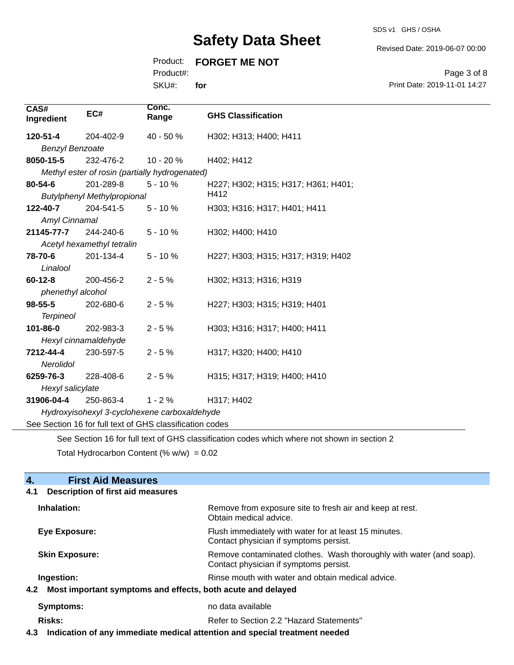SDS v1 GHS / OSHA

Revised Date: 2019-06-07 00:00

# Product: **FORGET ME NOT**

Product#:

SKU#: **for**

Page 3 of 8 Print Date: 2019-11-01 14:27

| CAS#<br>Ingredient                                                                          | EC#                                                      | Conc.<br>Range | <b>GHS Classification</b>           |  |  |
|---------------------------------------------------------------------------------------------|----------------------------------------------------------|----------------|-------------------------------------|--|--|
| 120-51-4                                                                                    | 204-402-9                                                | 40 - 50 %      | H302; H313; H400; H411              |  |  |
| <b>Benzyl Benzoate</b>                                                                      |                                                          |                |                                     |  |  |
| 8050-15-5                                                                                   | 232-476-2                                                | $10 - 20%$     | H402; H412                          |  |  |
|                                                                                             | Methyl ester of rosin (partially hydrogenated)           |                |                                     |  |  |
| 80-54-6                                                                                     | 201-289-8                                                | $5 - 10%$      | H227; H302; H315; H317; H361; H401; |  |  |
|                                                                                             | <b>Butylphenyl Methylpropional</b>                       |                | H412                                |  |  |
| 122-40-7                                                                                    | 204-541-5                                                | $5 - 10%$      | H303; H316; H317; H401; H411        |  |  |
| Amyl Cinnamal                                                                               |                                                          |                |                                     |  |  |
| 21145-77-7                                                                                  | 244-240-6                                                | $5 - 10%$      | H302; H400; H410                    |  |  |
|                                                                                             | Acetyl hexamethyl tetralin                               |                |                                     |  |  |
| 78-70-6                                                                                     | 201-134-4                                                | $5 - 10%$      | H227; H303; H315; H317; H319; H402  |  |  |
| Linalool                                                                                    |                                                          |                |                                     |  |  |
| $60 - 12 - 8$                                                                               | 200-456-2                                                | $2 - 5%$       | H302; H313; H316; H319              |  |  |
| phenethyl alcohol                                                                           |                                                          |                |                                     |  |  |
| $98 - 55 - 5$                                                                               | 202-680-6                                                | $2 - 5%$       | H227; H303; H315; H319; H401        |  |  |
| <b>Terpineol</b>                                                                            |                                                          |                |                                     |  |  |
| 101-86-0                                                                                    | 202-983-3                                                | $2 - 5%$       | H303; H316; H317; H400; H411        |  |  |
|                                                                                             | Hexyl cinnamaldehyde                                     |                |                                     |  |  |
| 7212-44-4                                                                                   | 230-597-5                                                | $2 - 5%$       | H317; H320; H400; H410              |  |  |
| <b>Nerolidol</b>                                                                            |                                                          |                |                                     |  |  |
| 6259-76-3                                                                                   | 228-408-6                                                | $2 - 5%$       | H315; H317; H319; H400; H410        |  |  |
| Hexyl salicylate                                                                            |                                                          |                |                                     |  |  |
| 31906-04-4                                                                                  | 250-863-4                                                | $1 - 2%$       | H317; H402                          |  |  |
|                                                                                             | Hydroxyisohexyl 3-cyclohexene carboxaldehyde             |                |                                     |  |  |
|                                                                                             | See Section 16 for full text of GHS classification codes |                |                                     |  |  |
| See Section 16 for full text of GHS classification codes which where not shown in section 2 |                                                          |                |                                     |  |  |

Total Hydrocarbon Content (%  $w/w$ ) = 0.02

# **4.** First Aid Measures

| <b>Description of first aid measures</b><br>4.1 |                                                                                                               |
|-------------------------------------------------|---------------------------------------------------------------------------------------------------------------|
| Inhalation:                                     | Remove from exposure site to fresh air and keep at rest.<br>Obtain medical advice.                            |
| Eye Exposure:                                   | Flush immediately with water for at least 15 minutes.<br>Contact physician if symptoms persist.               |
| <b>Skin Exposure:</b>                           | Remove contaminated clothes. Wash thoroughly with water (and soap).<br>Contact physician if symptoms persist. |
| Ingestion:                                      | Rinse mouth with water and obtain medical advice.                                                             |
|                                                 | 4.2 Most important symptoms and effects, both acute and delayed                                               |
| Symptoms:                                       | no data available                                                                                             |
| Risks:                                          | Refer to Section 2.2 "Hazard Statements"                                                                      |
|                                                 |                                                                                                               |

**4.3 Indication of any immediate medical attention and special treatment needed**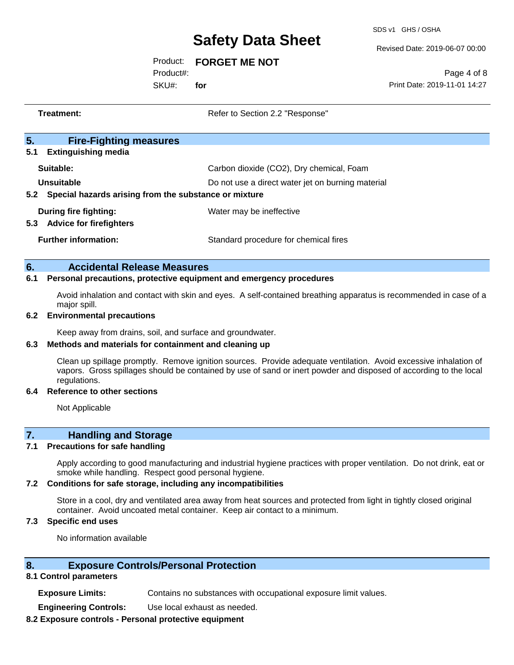SDS v1 GHS / OSHA

Revised Date: 2019-06-07 00:00

Product: **FORGET ME NOT** 

Product#:

SKU#: **for**

Page 4 of 8 Print Date: 2019-11-01 14:27

| Treatment:                                                   |                                                                                                                                   | Refer to Section 2.2 "Response"                   |  |
|--------------------------------------------------------------|-----------------------------------------------------------------------------------------------------------------------------------|---------------------------------------------------|--|
| 5.                                                           | <b>Fire-Fighting measures</b>                                                                                                     |                                                   |  |
| 5.1                                                          | <b>Extinguishing media</b>                                                                                                        |                                                   |  |
|                                                              | Suitable:                                                                                                                         | Carbon dioxide (CO2), Dry chemical, Foam          |  |
|                                                              | Unsuitable                                                                                                                        | Do not use a direct water jet on burning material |  |
| Special hazards arising from the substance or mixture<br>5.2 |                                                                                                                                   |                                                   |  |
|                                                              | During fire fighting:                                                                                                             | Water may be ineffective                          |  |
|                                                              | 5.3 Advice for firefighters                                                                                                       |                                                   |  |
|                                                              | <b>Further information:</b>                                                                                                       | Standard procedure for chemical fires             |  |
|                                                              |                                                                                                                                   |                                                   |  |
| 6.                                                           | <b>Accidental Release Measures</b>                                                                                                |                                                   |  |
| 6.1                                                          | Personal precautions, protective equipment and emergency procedures                                                               |                                                   |  |
|                                                              | Avoid inhalation and contact with skin and eyes. A self-contained breathing apparatus is recommended in case of a<br>major spill. |                                                   |  |
| 6.2                                                          | <b>Environmental precautions</b>                                                                                                  |                                                   |  |

Keep away from drains, soil, and surface and groundwater.

## **6.3 Methods and materials for containment and cleaning up**

Clean up spillage promptly. Remove ignition sources. Provide adequate ventilation. Avoid excessive inhalation of vapors. Gross spillages should be contained by use of sand or inert powder and disposed of according to the local regulations.

## **6.4 Reference to other sections**

Not Applicable

# **7. Handling and Storage**

## **7.1 Precautions for safe handling**

Apply according to good manufacturing and industrial hygiene practices with proper ventilation. Do not drink, eat or smoke while handling. Respect good personal hygiene.

## **7.2 Conditions for safe storage, including any incompatibilities**

Store in a cool, dry and ventilated area away from heat sources and protected from light in tightly closed original container. Avoid uncoated metal container. Keep air contact to a minimum.

## **7.3 Specific end uses**

No information available

# **8. Exposure Controls/Personal Protection**

## **8.1 Control parameters**

**Exposure Limits:** Contains no substances with occupational exposure limit values.

**Engineering Controls:** Use local exhaust as needed.

## **8.2 Exposure controls - Personal protective equipment**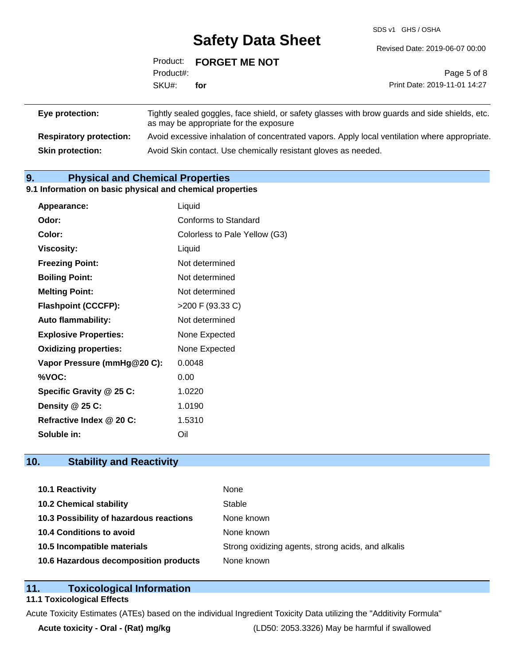SDS v1 GHS / OSHA

|                 |           | Product: FORGET ME NOT |                                                                                                |
|-----------------|-----------|------------------------|------------------------------------------------------------------------------------------------|
|                 | Product#: |                        | Page 5 of 8                                                                                    |
|                 | SKU#:     | for                    | Print Date: 2019-11-01 14:27                                                                   |
| Eye protection: |           |                        | Tightly sealed goggles, face shield, or safety glasses with brow guards and side shields, etc. |

as may be appropriate for the exposure **Respiratory protection:** Avoid excessive inhalation of concentrated vapors. Apply local ventilation where appropriate. **Skin protection:** Avoid Skin contact. Use chemically resistant gloves as needed.

# **9. Physical and Chemical Properties**

#### **9.1 Information on basic physical and chemical properties**

| Appearance:                  | Liquid                        |
|------------------------------|-------------------------------|
| Odor:                        | Conforms to Standard          |
| Color:                       | Colorless to Pale Yellow (G3) |
| Viscosity:                   | Liquid                        |
| <b>Freezing Point:</b>       | Not determined                |
| <b>Boiling Point:</b>        | Not determined                |
| <b>Melting Point:</b>        | Not determined                |
| <b>Flashpoint (CCCFP):</b>   | >200 F (93.33 C)              |
| <b>Auto flammability:</b>    | Not determined                |
| <b>Explosive Properties:</b> | None Expected                 |
| <b>Oxidizing properties:</b> | None Expected                 |
| Vapor Pressure (mmHg@20 C):  | 0.0048                        |
| %VOC:                        | 0.00                          |
| Specific Gravity @ 25 C:     | 1.0220                        |
| Density @ 25 C:              | 1.0190                        |
| Refractive Index @ 20 C:     | 1.5310                        |
| Soluble in:                  | Oil                           |

# **10. Stability and Reactivity**

| 10.1 Reactivity                         | None                                               |
|-----------------------------------------|----------------------------------------------------|
| <b>10.2 Chemical stability</b>          | Stable                                             |
| 10.3 Possibility of hazardous reactions | None known                                         |
| 10.4 Conditions to avoid                | None known                                         |
| 10.5 Incompatible materials             | Strong oxidizing agents, strong acids, and alkalis |
| 10.6 Hazardous decomposition products   | None known                                         |

# **11. Toxicological Information**

#### **11.1 Toxicological Effects**

Acute Toxicity Estimates (ATEs) based on the individual Ingredient Toxicity Data utilizing the "Additivity Formula"

**Acute toxicity - Oral - (Rat) mg/kg** (LD50: 2053.3326) May be harmful if swallowed

Revised Date: 2019-06-07 00:00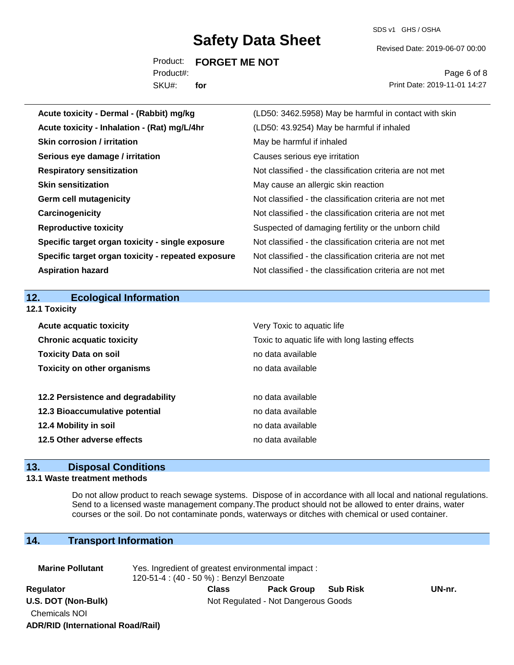SDS v1 GHS / OSHA

Revised Date: 2019-06-07 00:00

Product: **FORGET ME NOT**  SKU#: Product#: **for**

Page 6 of 8 Print Date: 2019-11-01 14:27

| Acute toxicity - Dermal - (Rabbit) mg/kg           | (LD50: 3462.5958) May be harmful in contact with skin    |
|----------------------------------------------------|----------------------------------------------------------|
| Acute toxicity - Inhalation - (Rat) mg/L/4hr       | (LD50: 43.9254) May be harmful if inhaled                |
| <b>Skin corrosion / irritation</b>                 | May be harmful if inhaled                                |
| Serious eye damage / irritation                    | Causes serious eye irritation                            |
| <b>Respiratory sensitization</b>                   | Not classified - the classification criteria are not met |
| <b>Skin sensitization</b>                          | May cause an allergic skin reaction                      |
| <b>Germ cell mutagenicity</b>                      | Not classified - the classification criteria are not met |
| Carcinogenicity                                    | Not classified - the classification criteria are not met |
| <b>Reproductive toxicity</b>                       | Suspected of damaging fertility or the unborn child      |
| Specific target organ toxicity - single exposure   | Not classified - the classification criteria are not met |
| Specific target organ toxicity - repeated exposure | Not classified - the classification criteria are not met |
| <b>Aspiration hazard</b>                           | Not classified - the classification criteria are not met |
|                                                    |                                                          |
|                                                    |                                                          |
| 12.<br><b>Ecological Information</b>               |                                                          |
| <b>12.1 Toxicity</b>                               |                                                          |
| <b>Acute acquatic toxicity</b>                     | Very Toxic to aquatic life                               |
| <b>Chronic acquatic toxicity</b>                   | Toxic to aquatic life with long lasting effects          |
| <b>Toxicity Data on soil</b>                       | no data available                                        |
| <b>Toxicity on other organisms</b>                 | no data available                                        |
|                                                    |                                                          |
| 12.2 Persistence and degradability                 | no data available                                        |
| 12.3 Bioaccumulative potential                     | no data available                                        |
| 12.4 Mobility in soil                              | no data available                                        |
| 12.5 Other adverse effects                         | no data available                                        |

# **13. Disposal Conditions**

#### **13.1 Waste treatment methods**

Do not allow product to reach sewage systems. Dispose of in accordance with all local and national regulations. Send to a licensed waste management company.The product should not be allowed to enter drains, water courses or the soil. Do not contaminate ponds, waterways or ditches with chemical or used container.

# **14. Transport Information**

| <b>Marine Pollutant</b>                  | Yes. Ingredient of greatest environmental impact :<br>120-51-4 : (40 - 50 %) : Benzyl Benzoate |       |                                     |                 |        |
|------------------------------------------|------------------------------------------------------------------------------------------------|-------|-------------------------------------|-----------------|--------|
| Regulator                                |                                                                                                | Class | <b>Pack Group</b>                   | <b>Sub Risk</b> | UN-nr. |
| U.S. DOT (Non-Bulk)                      |                                                                                                |       | Not Regulated - Not Dangerous Goods |                 |        |
| Chemicals NOI                            |                                                                                                |       |                                     |                 |        |
| <b>ADR/RID (International Road/Rail)</b> |                                                                                                |       |                                     |                 |        |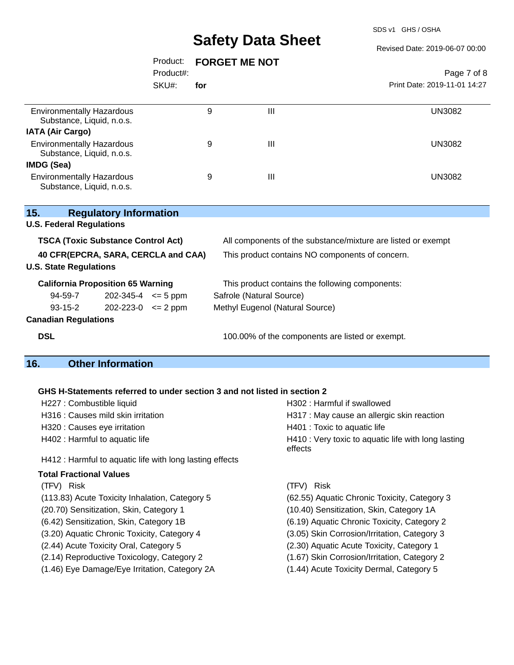SDS v1 GHS / OSHA

#### Revised Date: 2019-06-07 00:00

|                                                                                          | Product:<br>Product#:<br>SKU#: | <b>FORGET ME NOT</b> |   | Page 7 of 8                  |
|------------------------------------------------------------------------------------------|--------------------------------|----------------------|---|------------------------------|
|                                                                                          |                                | for                  |   | Print Date: 2019-11-01 14:27 |
| <b>Environmentally Hazardous</b><br>Substance, Liquid, n.o.s.                            |                                | 9                    | Ш | <b>UN3082</b>                |
| <b>IATA (Air Cargo)</b><br><b>Environmentally Hazardous</b><br>Substance, Liquid, n.o.s. |                                | 9                    | Ш | <b>UN3082</b>                |
| <b>IMDG (Sea)</b><br><b>Environmentally Hazardous</b><br>Substance, Liquid, n.o.s.       |                                | 9                    | Ш | <b>UN3082</b>                |

| 15.                                       | <b>Regulatory Information</b> |  |                                                              |  |
|-------------------------------------------|-------------------------------|--|--------------------------------------------------------------|--|
| <b>U.S. Federal Regulations</b>           |                               |  |                                                              |  |
| <b>TSCA (Toxic Substance Control Act)</b> |                               |  | All components of the substance/mixture are listed or exempt |  |
| 40 CFR(EPCRA, SARA, CERCLA and CAA)       |                               |  | This product contains NO components of concern.              |  |
| <b>U.S. State Regulations</b>             |                               |  |                                                              |  |
| <b>California Proposition 65 Warning</b>  |                               |  | This product contains the following components:              |  |
| 94-59-7                                   | $202 - 345 - 4 \leq 5$ ppm    |  | Safrole (Natural Source)                                     |  |
| $93 - 15 - 2$                             | $202 - 223 - 0 \leq 2$ ppm    |  | Methyl Eugenol (Natural Source)                              |  |
| <b>Canadian Regulations</b>               |                               |  |                                                              |  |
| <b>DSL</b>                                |                               |  | 100.00% of the components are listed or exempt.              |  |

# **16. Other Information**

#### **GHS H-Statements referred to under section 3 and not listed in section 2**

| <u>ONO TPOMENIENIS TEIENEU IU UNUEL SECUVIL JANU NUL IISIEU IN SECUVIL Z</u> |                                                                |  |  |
|------------------------------------------------------------------------------|----------------------------------------------------------------|--|--|
| H227 : Combustible liquid                                                    | H302 : Harmful if swallowed                                    |  |  |
| H316 : Causes mild skin irritation                                           | H317 : May cause an allergic skin reaction                     |  |  |
| H320 : Causes eye irritation                                                 | H401 : Toxic to aquatic life                                   |  |  |
| H402 : Harmful to aquatic life                                               | H410 : Very toxic to aquatic life with long lasting<br>effects |  |  |
| H412 : Harmful to aquatic life with long lasting effects                     |                                                                |  |  |
| <b>Total Fractional Values</b>                                               |                                                                |  |  |
| (TFV) Risk                                                                   | (TFV) Risk                                                     |  |  |
| (113.83) Acute Toxicity Inhalation, Category 5                               | (62.55) Aquatic Chronic Toxicity, Category 3                   |  |  |
| (20.70) Sensitization, Skin, Category 1                                      | (10.40) Sensitization, Skin, Category 1A                       |  |  |
| (6.42) Sensitization, Skin, Category 1B                                      | (6.19) Aquatic Chronic Toxicity, Category 2                    |  |  |
| (3.20) Aquatic Chronic Toxicity, Category 4                                  | (3.05) Skin Corrosion/Irritation, Category 3                   |  |  |
| (2.44) Acute Toxicity Oral, Category 5                                       | (2.30) Aquatic Acute Toxicity, Category 1                      |  |  |
| (2.14) Reproductive Toxicology, Category 2                                   | (1.67) Skin Corrosion/Irritation, Category 2                   |  |  |
|                                                                              |                                                                |  |  |

(1.46) Eye Damage/Eye Irritation, Category 2A (1.44) Acute Toxicity Dermal, Category 5